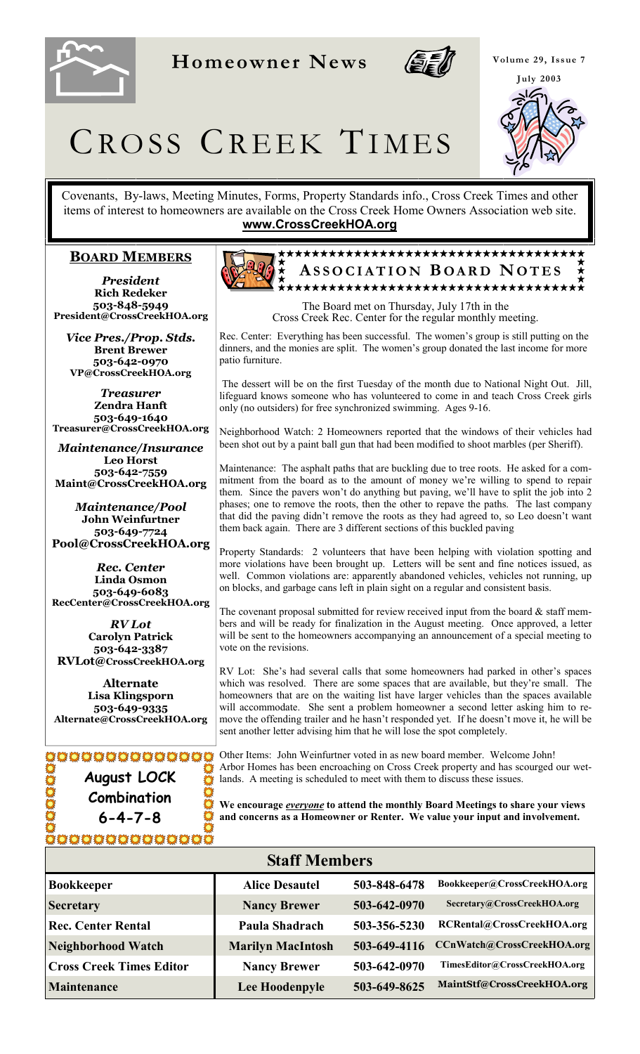

**Homeowner News** 



**Volume 29, Issue 7 July 2003** 



# CROSS CREEK TIMES

Covenants, By-laws, Meeting Minutes, Forms, Property Standards info., Cross Creek Times and other items of interest to homeowners are available on the Cross Creek Home Owners Association web site. **www.CrossCreekHOA.org**

#### **BOARD MEMBERS**

*President* **Rich Redeker 503-848-5949 President@CrossCreekHOA.org**

*Vice Pres./Prop. Stds.* **Brent Brewer 503-642-0970 VP@CrossCreekHOA.org** 

*Treasurer* **Zendra Hanft 503-649-1640 Treasurer@CrossCreekHOA.org**

*Maintenance/Insurance*  **Leo Horst 503-642-7559 Maint@CrossCreekHOA.org**

*Maintenance/Pool* **John Weinfurtner 503-649-7724 Pool@CrossCreekHOA.org** 

*Rec. Center* **Linda Osmon 503-649-6083 RecCenter@CrossCreekHOA.org**

*RV Lot* **Carolyn Patrick 503-642-3387 RVLot@CrossCreekHOA.org**

**Alternate Lisa Klingsporn 503-649-9335 Alternate@CrossCreekHOA.org**

**August LOCK Combination 6-4-7-8**  XOOOOOOOOOOO



The Board met on Thursday, July 17th in the Cross Creek Rec. Center for the regular monthly meeting.

Rec. Center: Everything has been successful. The women's group is still putting on the dinners, and the monies are split. The women's group donated the last income for more patio furniture.

 The dessert will be on the first Tuesday of the month due to National Night Out. Jill, lifeguard knows someone who has volunteered to come in and teach Cross Creek girls only (no outsiders) for free synchronized swimming. Ages 9-16.

Neighborhood Watch: 2 Homeowners reported that the windows of their vehicles had been shot out by a paint ball gun that had been modified to shoot marbles (per Sheriff).

Maintenance: The asphalt paths that are buckling due to tree roots. He asked for a commitment from the board as to the amount of money we're willing to spend to repair them. Since the pavers won't do anything but paving, we'll have to split the job into 2 phases; one to remove the roots, then the other to repave the paths. The last company that did the paving didn't remove the roots as they had agreed to, so Leo doesn't want them back again. There are 3 different sections of this buckled paving

Property Standards: 2 volunteers that have been helping with violation spotting and more violations have been brought up. Letters will be sent and fine notices issued, as well. Common violations are: apparently abandoned vehicles, vehicles not running, up on blocks, and garbage cans left in plain sight on a regular and consistent basis.

The covenant proposal submitted for review received input from the board  $\&$  staff members and will be ready for finalization in the August meeting. Once approved, a letter will be sent to the homeowners accompanying an announcement of a special meeting to vote on the revisions.

RV Lot: She's had several calls that some homeowners had parked in other's spaces which was resolved. There are some spaces that are available, but they're small. The homeowners that are on the waiting list have larger vehicles than the spaces available will accommodate. She sent a problem homeowner a second letter asking him to remove the offending trailer and he hasn't responded yet. If he doesn't move it, he will be sent another letter advising him that he will lose the spot completely.

Other Items: John Weinfurtner voted in as new board member. Welcome John! Arbor Homes has been encroaching on Cross Creek property and has scourged our wetlands. A meeting is scheduled to meet with them to discuss these issues.

**We encourage** *everyone* **to attend the monthly Board Meetings to share your views and concerns as a Homeowner or Renter. We value your input and involvement.**

| <b>Staff Members</b>            |                          |              |                               |
|---------------------------------|--------------------------|--------------|-------------------------------|
| <b>Bookkeeper</b>               | <b>Alice Desautel</b>    | 503-848-6478 | Bookkeeper@CrossCreekHOA.org  |
| <b>Secretary</b>                | <b>Nancy Brewer</b>      | 503-642-0970 | Secretary@CrossCreekHOA.org   |
| <b>Rec. Center Rental</b>       | Paula Shadrach           | 503-356-5230 | RCRental@CrossCreekHOA.org    |
| <b>Neighborhood Watch</b>       | <b>Marilyn MacIntosh</b> | 503-649-4116 | CCnWatch@CrossCreekHOA.org    |
| <b>Cross Creek Times Editor</b> | <b>Nancy Brewer</b>      | 503-642-0970 | TimesEditor@CrossCreekHOA.org |
| <b>Maintenance</b>              | Lee Hoodenpyle           | 503-649-8625 | MaintStf@CrossCreekHOA.org    |